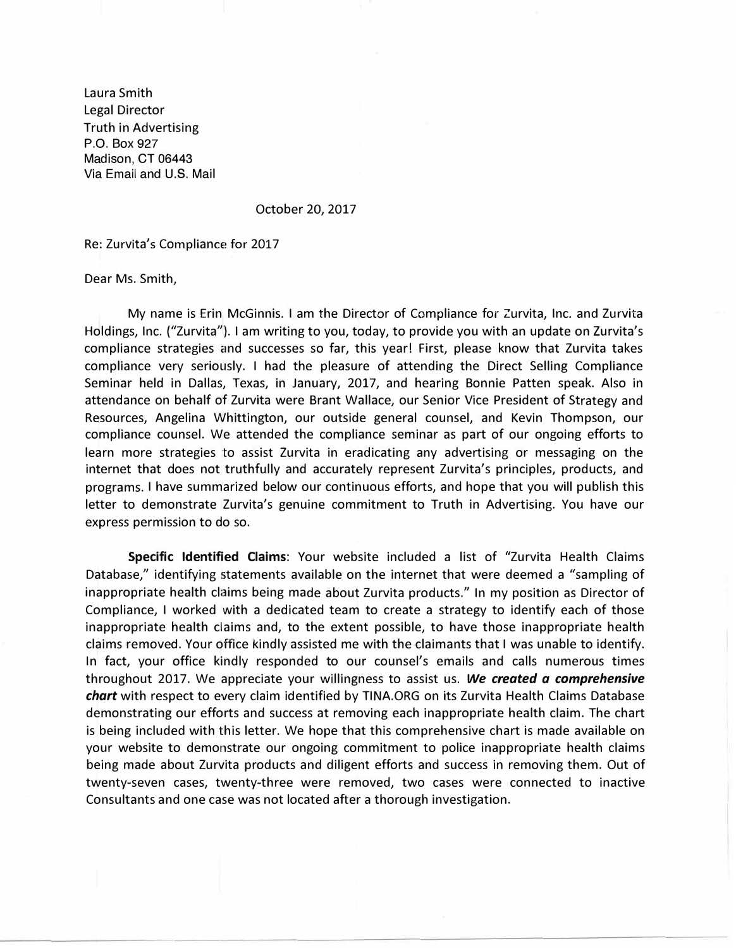Laura Smith Legal Director Truth in Advertising P.O. Box 927 Madison, CT 06443 Via Email and U.S. Mail

October 20, 2017

Re: Zurvita's Compliance for 2017

Dear Ms. Smith,

My name is Erin McGinnis. I am the Director of Compliance for Zurvita, Inc. and Zurvita Holdings, Inc. ("Zurvita"). I am writing to you, today, to provide you with an update on Zurvita's compliance strategies and successes so far, this year! First, please know that Zurvita takes compliance very seriously. I had the pleasure of attending the Direct Selling Compliance Seminar held in Dallas, Texas, in January, 2017, and hearing Bonnie Patten speak. Also in attendance on behalf of Zurvita were Brant Wallace, our Senior Vice President of Strategy and Resources, Angelina Whittington, our outside general counsel, and Kevin Thompson, our compliance counsel. We attended the compliance seminar as part of our ongoing efforts to learn more strategies to assist Zurvita in eradicating any advertising or messaging on the internet that does not truthfully and accurately represent Zurvita's principles, products, and programs. I have summarized below our continuous efforts, and hope that you will publish this letter to demonstrate Zurvita's genuine commitment to Truth in Advertising. You have our express permission to do so.

**Specific Identified Claims:** Your website included a list of "Zurvita Health Claims Database," identifying statements available on the internet that were deemed a "sampling of inappropriate health claims being made about Zurvita products." In my position as Director of Compliance, I worked with a dedicated team to create a strategy to identify each of those inappropriate health claims and, to the extent possible, to have those inappropriate health claims removed. Your office kindly assisted me with the claimants that I was unable to identify. In fact, your office kindly responded to our counsel's emails and calls numerous times throughout 2017. We appreciate your willingness to assist us. *We created a comprehensive chart* with respect to every claim identified by TINA.ORG on its Zurvita Health Claims Database demonstrating our efforts and success at removing each inappropriate health claim. The chart is being included with this letter. We hope that this comprehensive chart is made available on your website to demonstrate our ongoing commitment to police inappropriate health claims being made about Zurvita products and diligent efforts and success in removing them. Out of twenty-seven cases, twenty-three were removed, two cases were connected to inactive Consultants and one case was not located after a thorough investigation.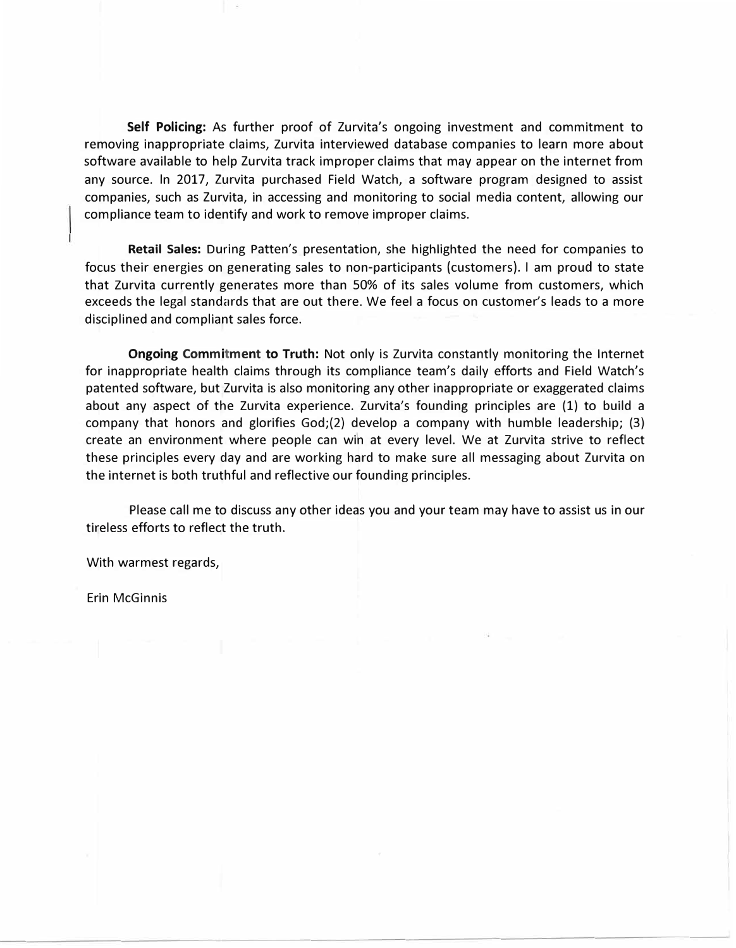**Self Policing:** As further proof of Zurvita's ongoing investment and commitment to removing inappropriate claims, Zurvita interviewed database companies to learn more about software available to help Zurvita track improper claims that may appear on the internet from any source. In 2017, Zurvita purchased Field Watch, a software program designed to assist companies, such as Zurvita, in accessing and monitoring to social media content, allowing our compliance team to identify and work to remove improper claims.

**Retail Sales:** During Patten's presentation, she highlighted the need for companies to focus their energies on generating sales to non-participants (customers). I am proud to state that Zurvita currently generates more than 50% of its sales volume from customers, which exceeds the legal standards that are out there. We feel a focus on customer's leads to a more disciplined and compliant sales force.

**Ongoing Commitment to Truth:** Not only is Zurvita constantly monitoring the Internet for inappropriate health claims through its compliance team's daily efforts and Field Watch's patented software, but Zurvita is also monitoring any other inappropriate or exaggerated claims about any aspect of the Zurvita experience. Zurvita's founding principles are (1) to build a company that honors and glorifies God;(2) develop a company with humble leadership; (3) create an environment where people can win at every level. We at Zurvita strive to reflect these principles every day and are working hard to make sure all messaging about Zurvita on the internet is both truthful and reflective our founding principles.

Please call me to discuss any other ideas you and your team may have to assist us in our tireless efforts to reflect the truth.

With warmest regards,

Erin McGinnis